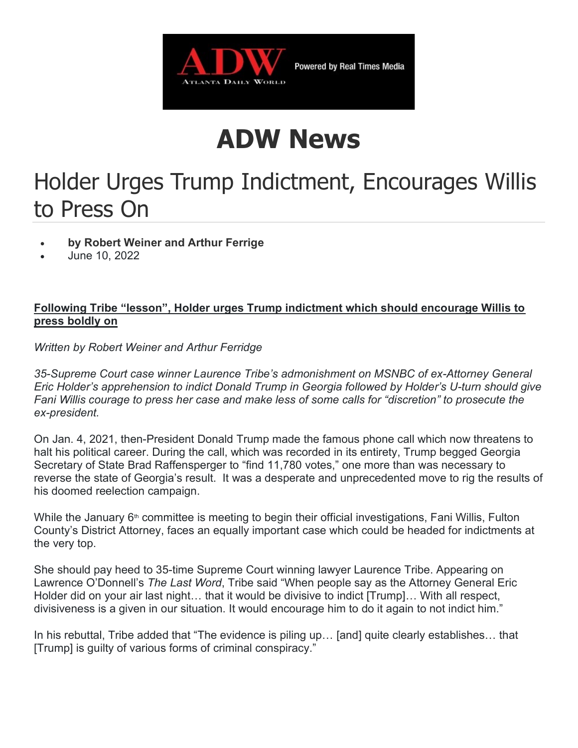

## ADW News

## Holder Urges Trump Indictment, Encourages Willis to Press On

- by Robert Weiner and Arthur Ferrige
- June 10, 2022

## Following Tribe "lesson", Holder urges Trump indictment which should encourage Willis to press boldly on

Written by Robert Weiner and Arthur Ferridge

35-Supreme Court case winner Laurence Tribe's admonishment on MSNBC of ex-Attorney General Eric Holder's apprehension to indict Donald Trump in Georgia followed by Holder's U-turn should give Fani Willis courage to press her case and make less of some calls for "discretion" to prosecute the ex-president.

On Jan. 4, 2021, then-President Donald Trump made the famous phone call which now threatens to halt his political career. During the call, which was recorded in its entirety, Trump begged Georgia Secretary of State Brad Raffensperger to "find 11,780 votes," one more than was necessary to reverse the state of Georgia's result. It was a desperate and unprecedented move to rig the results of his doomed reelection campaign.

While the January  $6<sup>th</sup>$  committee is meeting to begin their official investigations, Fani Willis, Fulton County's District Attorney, faces an equally important case which could be headed for indictments at the very top.

She should pay heed to 35-time Supreme Court winning lawyer Laurence Tribe. Appearing on Lawrence O'Donnell's The Last Word, Tribe said "When people say as the Attorney General Eric Holder did on your air last night… that it would be divisive to indict [Trump]… With all respect, divisiveness is a given in our situation. It would encourage him to do it again to not indict him."

In his rebuttal, Tribe added that "The evidence is piling up… [and] quite clearly establishes… that [Trump] is guilty of various forms of criminal conspiracy."